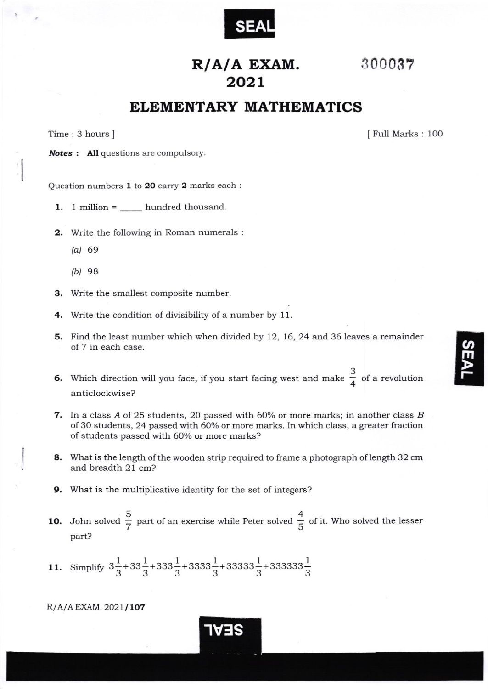

## 30003?

## R/A/A EXAM. 2o21

## ELEMENTARY MATHEMATICS

Time: 3 hours ] [Full Marks : 100] [Full Marks : 100]

Notes : All questions are compulsory.

Question numbers  $1$  to  $20$  carry  $2$  marks each :

- 1. 1 million  $=$  \_\_\_\_\_\_ hundred thousand.
- 2. Write the following in Roman numerals :
	- (a) 69
	- (b)  $98$
- 3. Write the smallest composite number.
- 4. Write the condition of divisibility of a number by 11.
- 5. Find the least number which when divided by 12, 16,24 and 36 leaves a remainder of 7 in each case.
- 6. Which direction will you face, if you start facing west and make  $\frac{3}{4}$  of a revolution anticiockwise?
- 7. In a class A of 25 students, 20 passed with 60% or more marks; in another class B of3O students, 24 passed with 6O%o or more marks. In which class, a greater fraction of students passed with 60% or more marks?
- 8. What is the length of the wooden strip required to frame a photograph of length 32 cm and breadth 21 cm?
- 9. What is the multiplicative identity for the set of integers?
- **10.** John solved  $\frac{5}{7}$  part of an exercise while Peter solved  $\frac{4}{5}$  of it. Who solved the lesser part?

lvf S

11. Simplify  $3\frac{1}{2}+33\frac{1}{2}+333\frac{1}{2}+3333\frac{1}{2}+33333\frac{1}{2}+33333\frac{1}{2}$ 

 $R/A/A$  EXAM. 2021/107

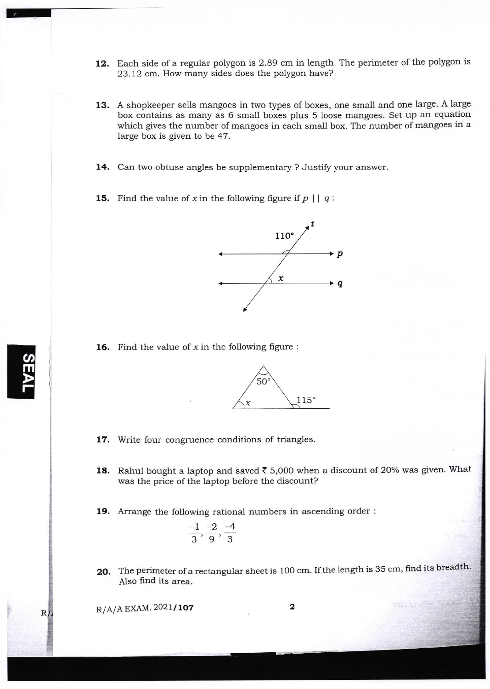- 12. Each side of a regular polygon is 2.89 cm in length. The perimeter of the polygon is 23.12 cm. How many sides does the polygon have?
- 13. A shopkeeper sells mangoes in two types of boxes, one small and one large. A large box contains as many as 6 small boxes plus 5 loose mangoes. Set up an equation which gives the number of mangoes in each small box. The number of mangoes in a large box is given to be 47.
- 14. Can two obtuse angles be supplementary ? Justify your answer.
- **15.** Find the value of x in the following figure if  $p \mid q$ :



**16.** Find the value of x in the following figure :



17. Write four congruence conditions of triangles.

**18.** Rahul bought a laptop and saved  $\bar{\tau}$  5,000 when a discount of 20% was given. What was the price of the laptop before the discount?

19. Arrange the following rational numbers in ascending order :

$$
\frac{-1}{3}, \frac{-2}{9}, \frac{-4}{3}
$$

20. The perimeter of a rectangular sheet is 100 cm. If the length is 35 cm, find its breadth. Also find its area.

 $R/A/A$  EXAM.  $2021/107$  2

<u>ທ</u> m  $\sum$  j

 $R/$ 

mast se